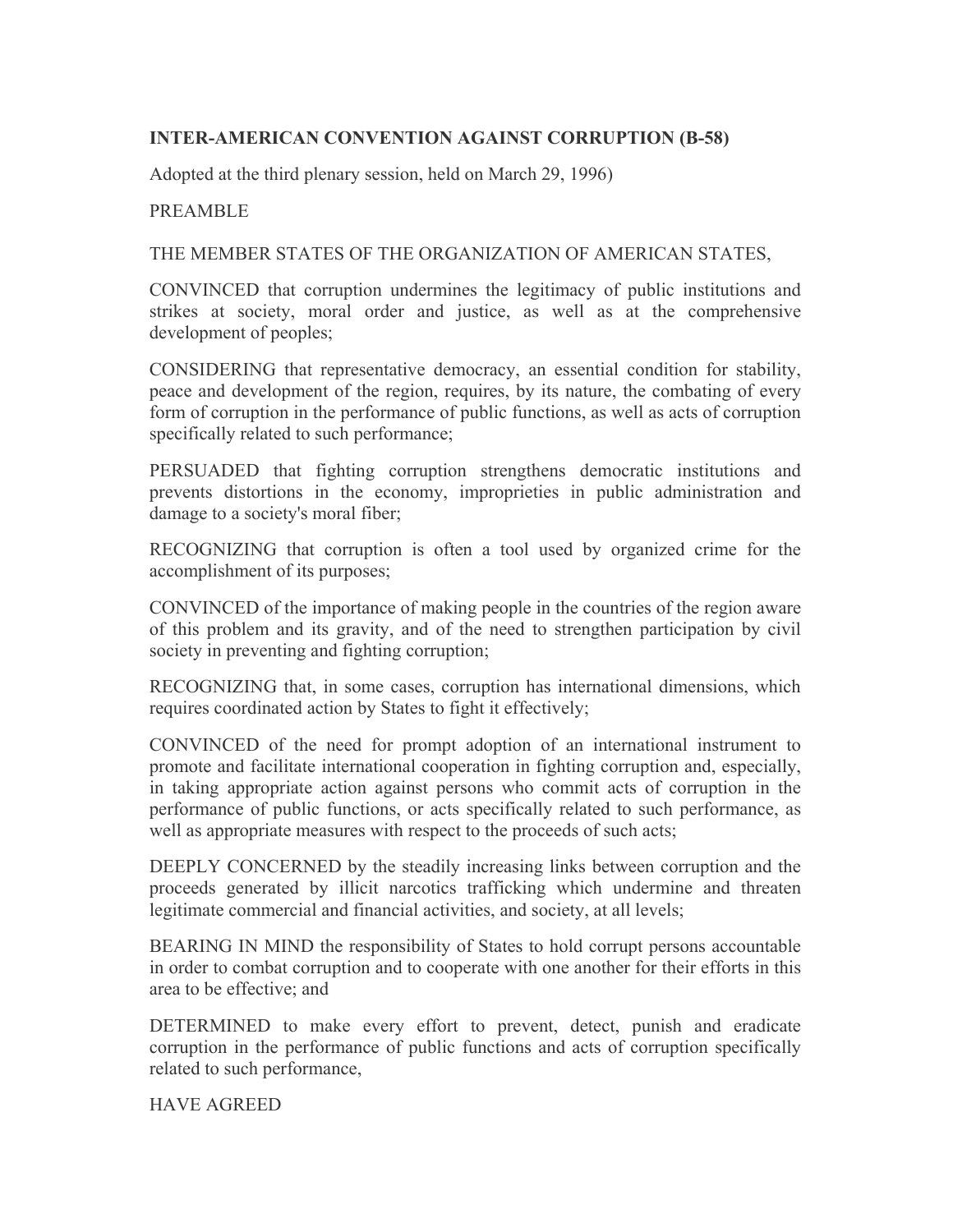# **INTER-AMERICAN CONVENTION AGAINST CORRUPTION (B-58)**

Adopted at the third plenary session, held on March 29, 1996)

PREAMBLE

THE MEMBER STATES OF THE ORGANIZATION OF AMERICAN STATES,

CONVINCED that corruption undermines the legitimacy of public institutions and strikes at society, moral order and justice, as well as at the comprehensive development of peoples;

CONSIDERING that representative democracy, an essential condition for stability, peace and development of the region, requires, by its nature, the combating of every form of corruption in the performance of public functions, as well as acts of corruption specifically related to such performance;

PERSUADED that fighting corruption strengthens democratic institutions and prevents distortions in the economy, improprieties in public administration and damage to a society's moral fiber;

RECOGNIZING that corruption is often a tool used by organized crime for the accomplishment of its purposes;

CONVINCED of the importance of making people in the countries of the region aware of this problem and its gravity, and of the need to strengthen participation by civil society in preventing and fighting corruption;

RECOGNIZING that, in some cases, corruption has international dimensions, which requires coordinated action by States to fight it effectively;

CONVINCED of the need for prompt adoption of an international instrument to promote and facilitate international cooperation in fighting corruption and, especially, in taking appropriate action against persons who commit acts of corruption in the performance of public functions, or acts specifically related to such performance, as well as appropriate measures with respect to the proceeds of such acts;

DEEPLY CONCERNED by the steadily increasing links between corruption and the proceeds generated by illicit narcotics trafficking which undermine and threaten legitimate commercial and financial activities, and society, at all levels;

BEARING IN MIND the responsibility of States to hold corrupt persons accountable in order to combat corruption and to cooperate with one another for their efforts in this area to be effective; and

DETERMINED to make every effort to prevent, detect, punish and eradicate corruption in the performance of public functions and acts of corruption specifically related to such performance,

HAVE AGREED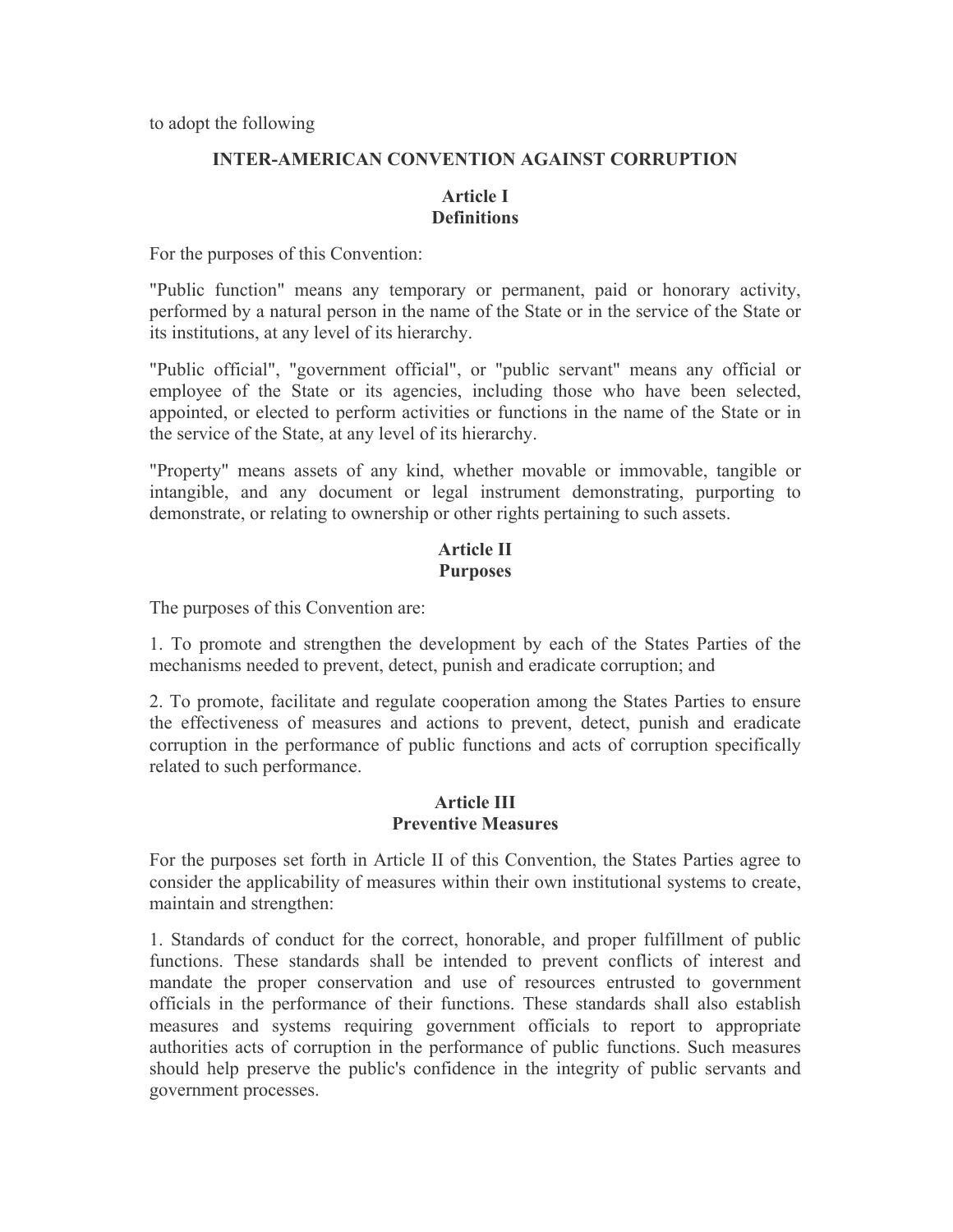to adopt the following

### **INTER-AMERICAN CONVENTION AGAINST CORRUPTION**

# **Article I Definitions**

For the purposes of this Convention:

"Public function" means any temporary or permanent, paid or honorary activity, performed by a natural person in the name of the State or in the service of the State or its institutions, at any level of its hierarchy.

"Public official", "government official", or "public servant" means any official or employee of the State or its agencies, including those who have been selected, appointed, or elected to perform activities or functions in the name of the State or in the service of the State, at any level of its hierarchy.

"Property" means assets of any kind, whether movable or immovable, tangible or intangible, and any document or legal instrument demonstrating, purporting to demonstrate, or relating to ownership or other rights pertaining to such assets.

# **Article II Purposes**

The purposes of this Convention are:

1. To promote and strengthen the development by each of the States Parties of the mechanisms needed to prevent, detect, punish and eradicate corruption; and

2. To promote, facilitate and regulate cooperation among the States Parties to ensure the effectiveness of measures and actions to prevent, detect, punish and eradicate corruption in the performance of public functions and acts of corruption specifically related to such performance.

### **Article III Preventive Measures**

For the purposes set forth in Article II of this Convention, the States Parties agree to consider the applicability of measures within their own institutional systems to create, maintain and strengthen:

1. Standards of conduct for the correct, honorable, and proper fulfillment of public functions. These standards shall be intended to prevent conflicts of interest and mandate the proper conservation and use of resources entrusted to government officials in the performance of their functions. These standards shall also establish measures and systems requiring government officials to report to appropriate authorities acts of corruption in the performance of public functions. Such measures should help preserve the public's confidence in the integrity of public servants and government processes.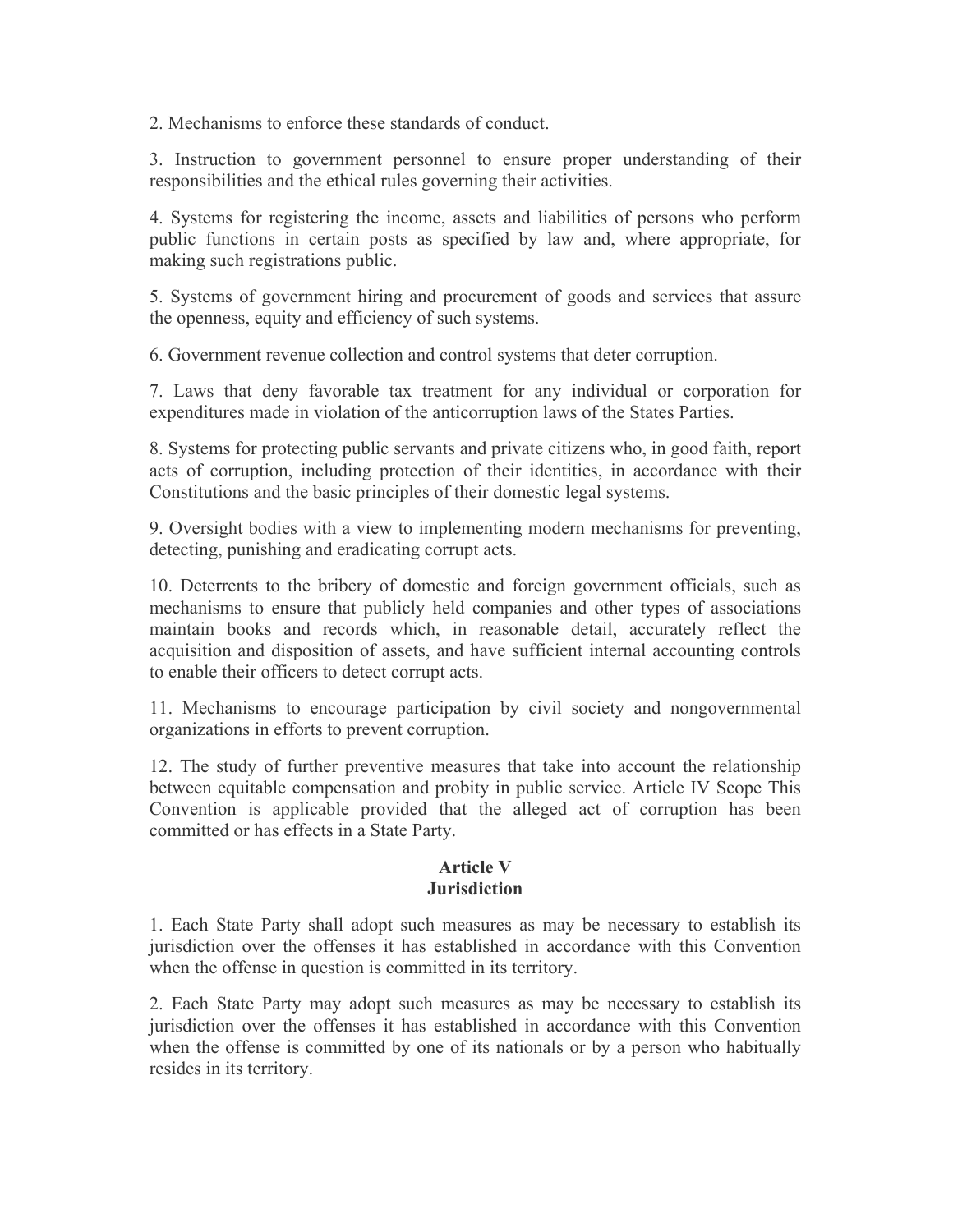2. Mechanisms to enforce these standards of conduct.

3. Instruction to government personnel to ensure proper understanding of their responsibilities and the ethical rules governing their activities.

4. Systems for registering the income, assets and liabilities of persons who perform public functions in certain posts as specified by law and, where appropriate, for making such registrations public.

5. Systems of government hiring and procurement of goods and services that assure the openness, equity and efficiency of such systems.

6. Government revenue collection and control systems that deter corruption.

7. Laws that deny favorable tax treatment for any individual or corporation for expenditures made in violation of the anticorruption laws of the States Parties.

8. Systems for protecting public servants and private citizens who, in good faith, report acts of corruption, including protection of their identities, in accordance with their Constitutions and the basic principles of their domestic legal systems.

9. Oversight bodies with a view to implementing modern mechanisms for preventing, detecting, punishing and eradicating corrupt acts.

10. Deterrents to the bribery of domestic and foreign government officials, such as mechanisms to ensure that publicly held companies and other types of associations maintain books and records which, in reasonable detail, accurately reflect the acquisition and disposition of assets, and have sufficient internal accounting controls to enable their officers to detect corrupt acts.

11. Mechanisms to encourage participation by civil society and nongovernmental organizations in efforts to prevent corruption.

12. The study of further preventive measures that take into account the relationship between equitable compensation and probity in public service. Article IV Scope This Convention is applicable provided that the alleged act of corruption has been committed or has effects in a State Party.

### **Article V Jurisdiction**

1. Each State Party shall adopt such measures as may be necessary to establish its jurisdiction over the offenses it has established in accordance with this Convention when the offense in question is committed in its territory.

2. Each State Party may adopt such measures as may be necessary to establish its jurisdiction over the offenses it has established in accordance with this Convention when the offense is committed by one of its nationals or by a person who habitually resides in its territory.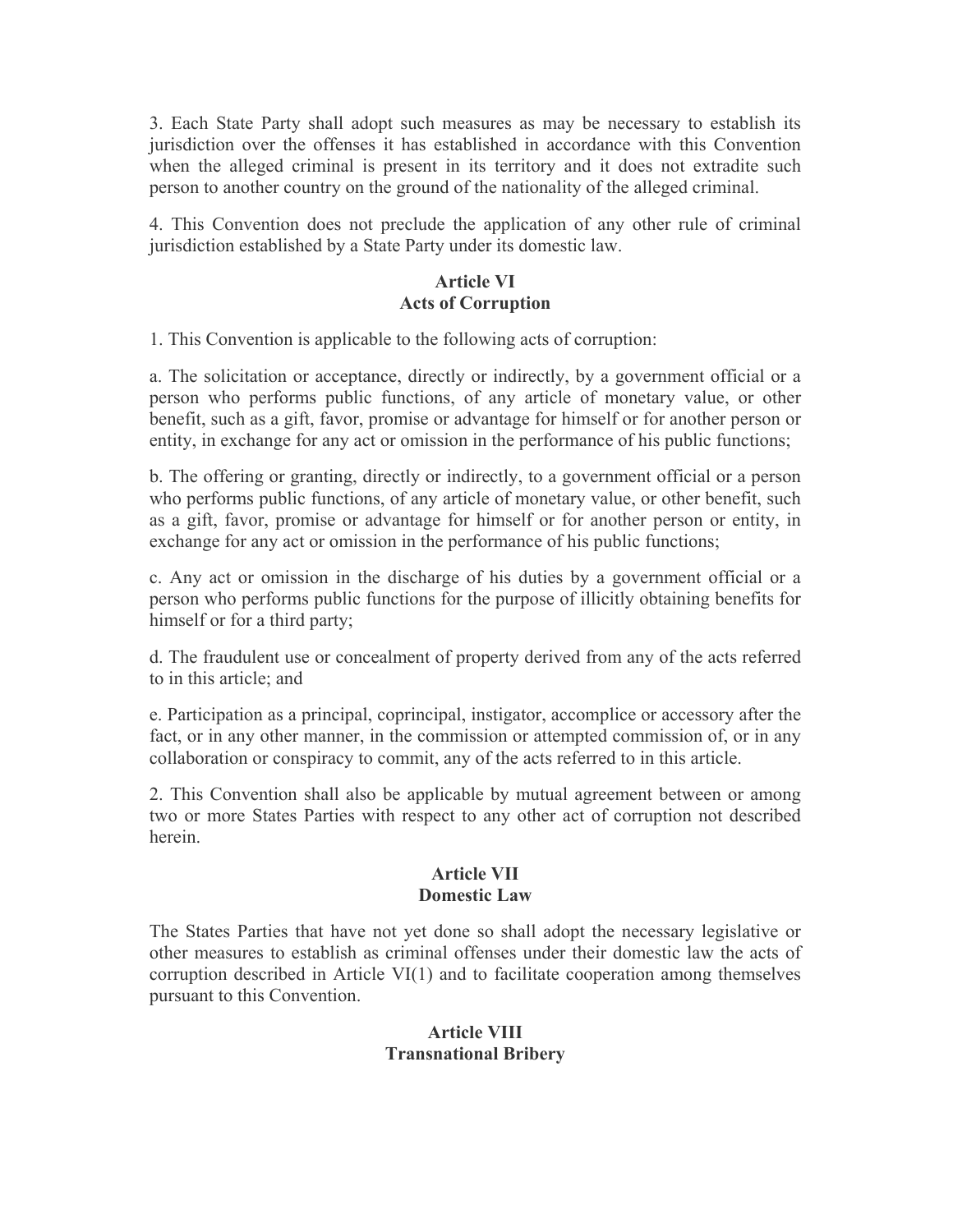3. Each State Party shall adopt such measures as may be necessary to establish its jurisdiction over the offenses it has established in accordance with this Convention when the alleged criminal is present in its territory and it does not extradite such person to another country on the ground of the nationality of the alleged criminal.

4. This Convention does not preclude the application of any other rule of criminal jurisdiction established by a State Party under its domestic law.

# **Article VI Acts of Corruption**

1. This Convention is applicable to the following acts of corruption:

a. The solicitation or acceptance, directly or indirectly, by a government official or a person who performs public functions, of any article of monetary value, or other benefit, such as a gift, favor, promise or advantage for himself or for another person or entity, in exchange for any act or omission in the performance of his public functions;

b. The offering or granting, directly or indirectly, to a government official or a person who performs public functions, of any article of monetary value, or other benefit, such as a gift, favor, promise or advantage for himself or for another person or entity, in exchange for any act or omission in the performance of his public functions;

c. Any act or omission in the discharge of his duties by a government official or a person who performs public functions for the purpose of illicitly obtaining benefits for himself or for a third party;

d. The fraudulent use or concealment of property derived from any of the acts referred to in this article; and

e. Participation as a principal, coprincipal, instigator, accomplice or accessory after the fact, or in any other manner, in the commission or attempted commission of, or in any collaboration or conspiracy to commit, any of the acts referred to in this article.

2. This Convention shall also be applicable by mutual agreement between or among two or more States Parties with respect to any other act of corruption not described herein.

# **Article VII Domestic Law**

The States Parties that have not yet done so shall adopt the necessary legislative or other measures to establish as criminal offenses under their domestic law the acts of corruption described in Article VI(1) and to facilitate cooperation among themselves pursuant to this Convention.

# **Article VIII Transnational Bribery**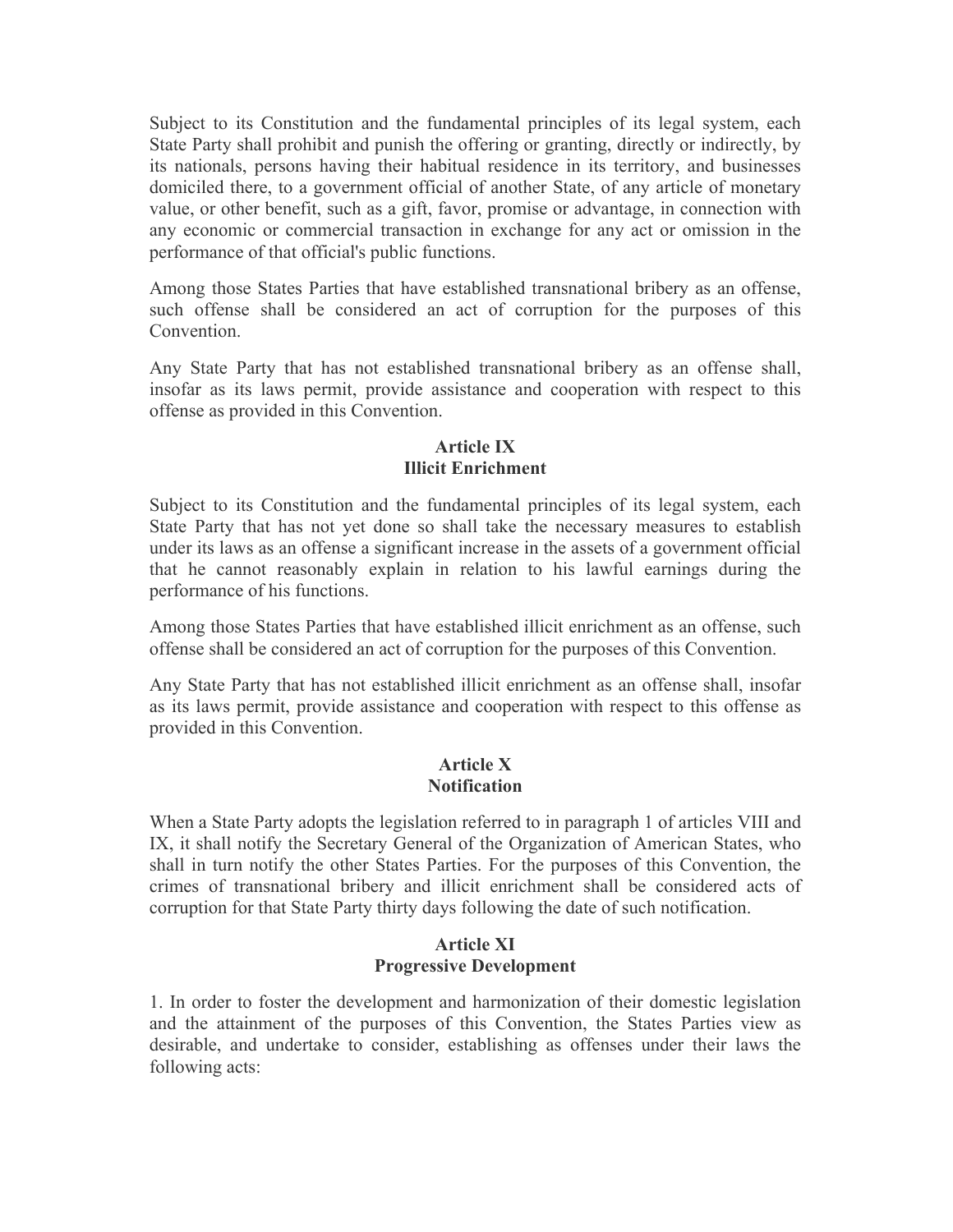Subject to its Constitution and the fundamental principles of its legal system, each State Party shall prohibit and punish the offering or granting, directly or indirectly, by its nationals, persons having their habitual residence in its territory, and businesses domiciled there, to a government official of another State, of any article of monetary value, or other benefit, such as a gift, favor, promise or advantage, in connection with any economic or commercial transaction in exchange for any act or omission in the performance of that official's public functions.

Among those States Parties that have established transnational bribery as an offense, such offense shall be considered an act of corruption for the purposes of this **Convention** 

Any State Party that has not established transnational bribery as an offense shall, insofar as its laws permit, provide assistance and cooperation with respect to this offense as provided in this Convention.

### **Article IX Illicit Enrichment**

Subject to its Constitution and the fundamental principles of its legal system, each State Party that has not yet done so shall take the necessary measures to establish under its laws as an offense a significant increase in the assets of a government official that he cannot reasonably explain in relation to his lawful earnings during the performance of his functions.

Among those States Parties that have established illicit enrichment as an offense, such offense shall be considered an act of corruption for the purposes of this Convention.

Any State Party that has not established illicit enrichment as an offense shall, insofar as its laws permit, provide assistance and cooperation with respect to this offense as provided in this Convention.

### **Article X Notification**

When a State Party adopts the legislation referred to in paragraph 1 of articles VIII and IX, it shall notify the Secretary General of the Organization of American States, who shall in turn notify the other States Parties. For the purposes of this Convention, the crimes of transnational bribery and illicit enrichment shall be considered acts of corruption for that State Party thirty days following the date of such notification.

### **Article XI Progressive Development**

1. In order to foster the development and harmonization of their domestic legislation and the attainment of the purposes of this Convention, the States Parties view as desirable, and undertake to consider, establishing as offenses under their laws the following acts: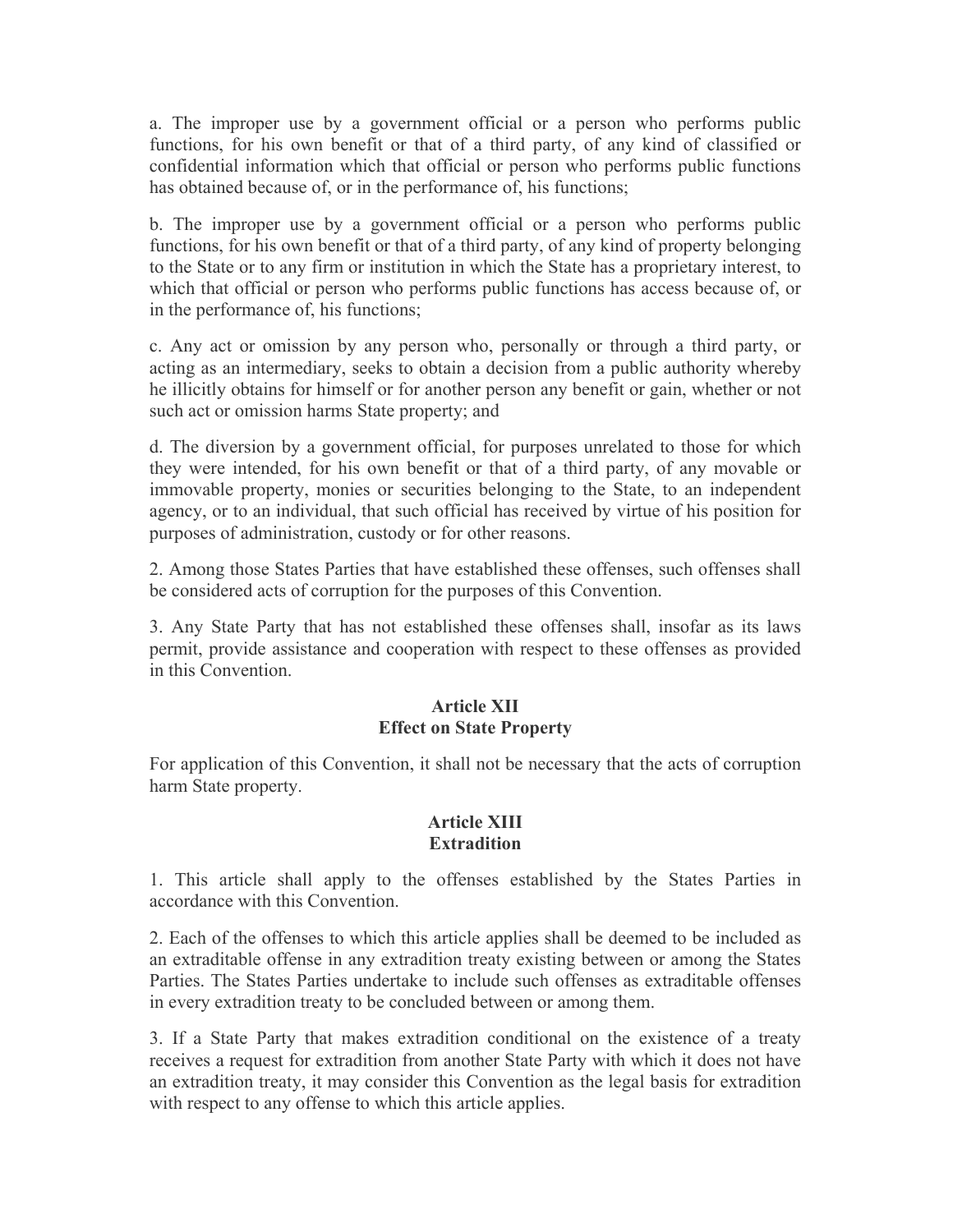a. The improper use by a government official or a person who performs public functions, for his own benefit or that of a third party, of any kind of classified or confidential information which that official or person who performs public functions has obtained because of, or in the performance of, his functions;

b. The improper use by a government official or a person who performs public functions, for his own benefit or that of a third party, of any kind of property belonging to the State or to any firm or institution in which the State has a proprietary interest, to which that official or person who performs public functions has access because of, or in the performance of, his functions;

c. Any act or omission by any person who, personally or through a third party, or acting as an intermediary, seeks to obtain a decision from a public authority whereby he illicitly obtains for himself or for another person any benefit or gain, whether or not such act or omission harms State property; and

d. The diversion by a government official, for purposes unrelated to those for which they were intended, for his own benefit or that of a third party, of any movable or immovable property, monies or securities belonging to the State, to an independent agency, or to an individual, that such official has received by virtue of his position for purposes of administration, custody or for other reasons.

2. Among those States Parties that have established these offenses, such offenses shall be considered acts of corruption for the purposes of this Convention.

3. Any State Party that has not established these offenses shall, insofar as its laws permit, provide assistance and cooperation with respect to these offenses as provided in this Convention.

#### **Article XII Effect on State Property**

For application of this Convention, it shall not be necessary that the acts of corruption harm State property.

# **Article XIII Extradition**

1. This article shall apply to the offenses established by the States Parties in accordance with this Convention.

2. Each of the offenses to which this article applies shall be deemed to be included as an extraditable offense in any extradition treaty existing between or among the States Parties. The States Parties undertake to include such offenses as extraditable offenses in every extradition treaty to be concluded between or among them.

3. If a State Party that makes extradition conditional on the existence of a treaty receives a request for extradition from another State Party with which it does not have an extradition treaty, it may consider this Convention as the legal basis for extradition with respect to any offense to which this article applies.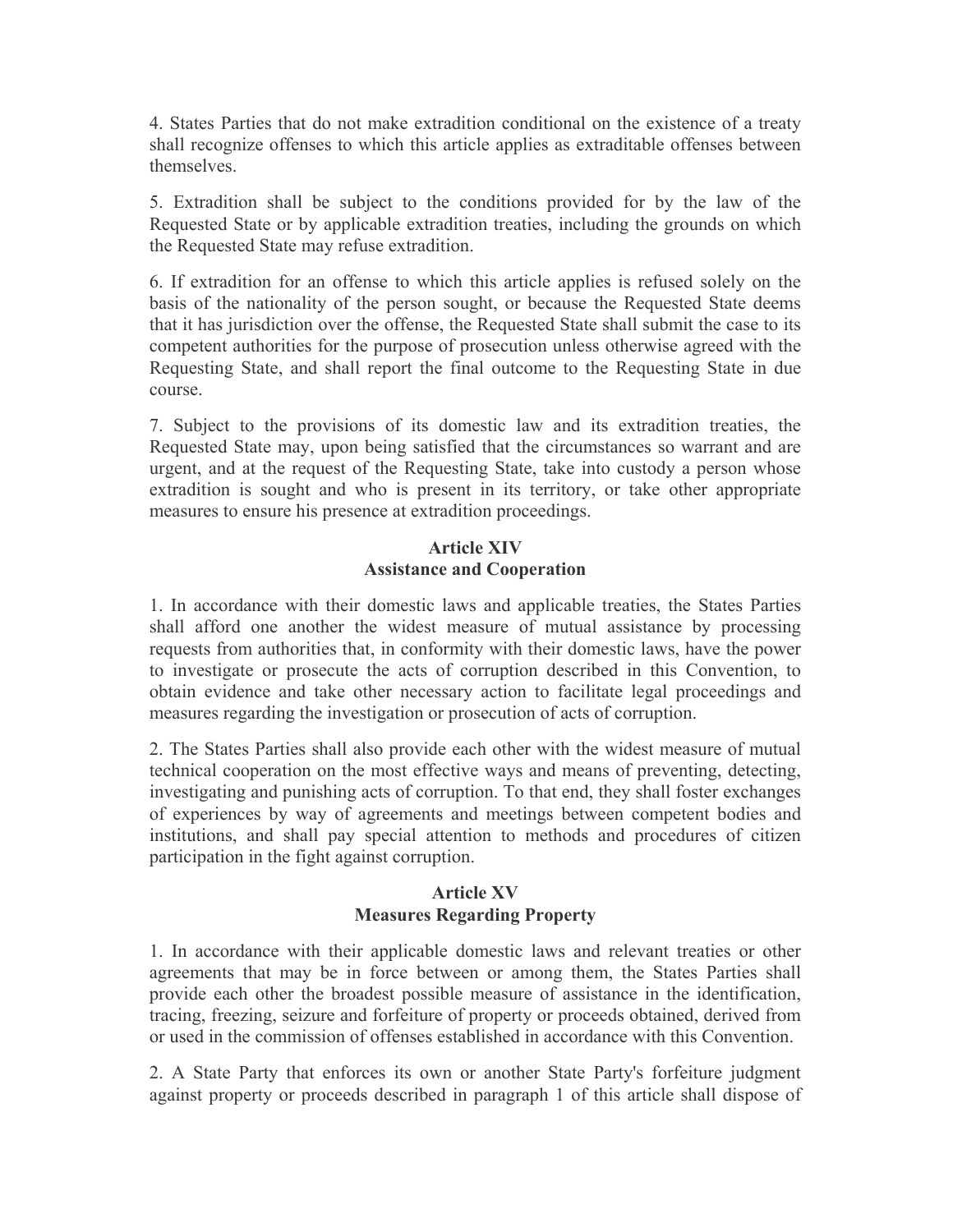4. States Parties that do not make extradition conditional on the existence of a treaty shall recognize offenses to which this article applies as extraditable offenses between themselves.

5. Extradition shall be subject to the conditions provided for by the law of the Requested State or by applicable extradition treaties, including the grounds on which the Requested State may refuse extradition.

6. If extradition for an offense to which this article applies is refused solely on the basis of the nationality of the person sought, or because the Requested State deems that it has jurisdiction over the offense, the Requested State shall submit the case to its competent authorities for the purpose of prosecution unless otherwise agreed with the Requesting State, and shall report the final outcome to the Requesting State in due course.

7. Subject to the provisions of its domestic law and its extradition treaties, the Requested State may, upon being satisfied that the circumstances so warrant and are urgent, and at the request of the Requesting State, take into custody a person whose extradition is sought and who is present in its territory, or take other appropriate measures to ensure his presence at extradition proceedings.

# **Article XIV Assistance and Cooperation**

1. In accordance with their domestic laws and applicable treaties, the States Parties shall afford one another the widest measure of mutual assistance by processing requests from authorities that, in conformity with their domestic laws, have the power to investigate or prosecute the acts of corruption described in this Convention, to obtain evidence and take other necessary action to facilitate legal proceedings and measures regarding the investigation or prosecution of acts of corruption.

2. The States Parties shall also provide each other with the widest measure of mutual technical cooperation on the most effective ways and means of preventing, detecting, investigating and punishing acts of corruption. To that end, they shall foster exchanges of experiences by way of agreements and meetings between competent bodies and institutions, and shall pay special attention to methods and procedures of citizen participation in the fight against corruption.

# **Article XV Measures Regarding Property**

1. In accordance with their applicable domestic laws and relevant treaties or other agreements that may be in force between or among them, the States Parties shall provide each other the broadest possible measure of assistance in the identification, tracing, freezing, seizure and forfeiture of property or proceeds obtained, derived from or used in the commission of offenses established in accordance with this Convention.

2. A State Party that enforces its own or another State Party's forfeiture judgment against property or proceeds described in paragraph 1 of this article shall dispose of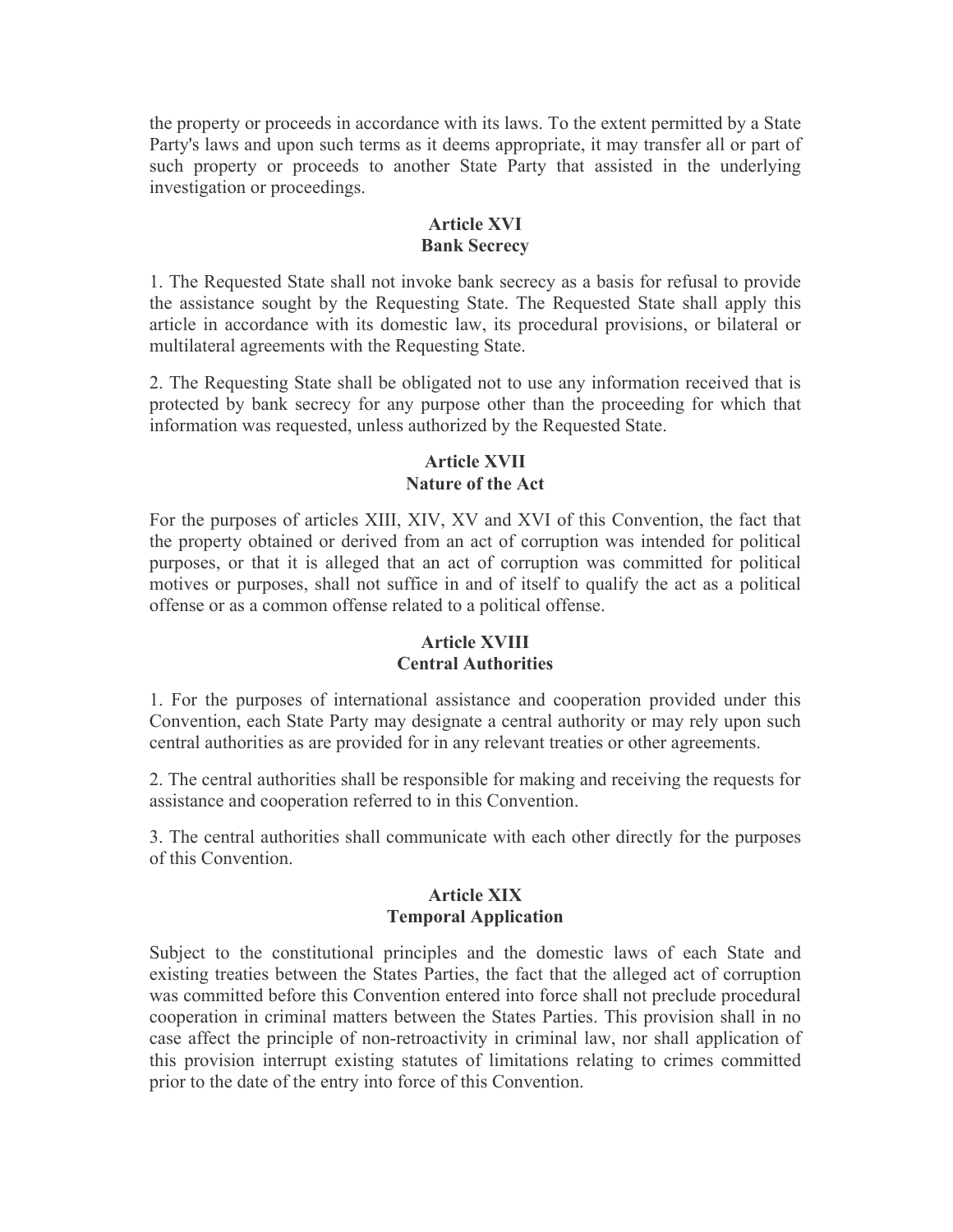the property or proceeds in accordance with its laws. To the extent permitted by a State Party's laws and upon such terms as it deems appropriate, it may transfer all or part of such property or proceeds to another State Party that assisted in the underlying investigation or proceedings.

#### **Article XVI Bank Secrecy**

1. The Requested State shall not invoke bank secrecy as a basis for refusal to provide the assistance sought by the Requesting State. The Requested State shall apply this article in accordance with its domestic law, its procedural provisions, or bilateral or multilateral agreements with the Requesting State.

2. The Requesting State shall be obligated not to use any information received that is protected by bank secrecy for any purpose other than the proceeding for which that information was requested, unless authorized by the Requested State.

# **Article XVII Nature of the Act**

For the purposes of articles XIII, XIV, XV and XVI of this Convention, the fact that the property obtained or derived from an act of corruption was intended for political purposes, or that it is alleged that an act of corruption was committed for political motives or purposes, shall not suffice in and of itself to qualify the act as a political offense or as a common offense related to a political offense.

### **Article XVIII Central Authorities**

1. For the purposes of international assistance and cooperation provided under this Convention, each State Party may designate a central authority or may rely upon such central authorities as are provided for in any relevant treaties or other agreements.

2. The central authorities shall be responsible for making and receiving the requests for assistance and cooperation referred to in this Convention.

3. The central authorities shall communicate with each other directly for the purposes of this Convention.

# **Article XIX Temporal Application**

Subject to the constitutional principles and the domestic laws of each State and existing treaties between the States Parties, the fact that the alleged act of corruption was committed before this Convention entered into force shall not preclude procedural cooperation in criminal matters between the States Parties. This provision shall in no case affect the principle of non-retroactivity in criminal law, nor shall application of this provision interrupt existing statutes of limitations relating to crimes committed prior to the date of the entry into force of this Convention.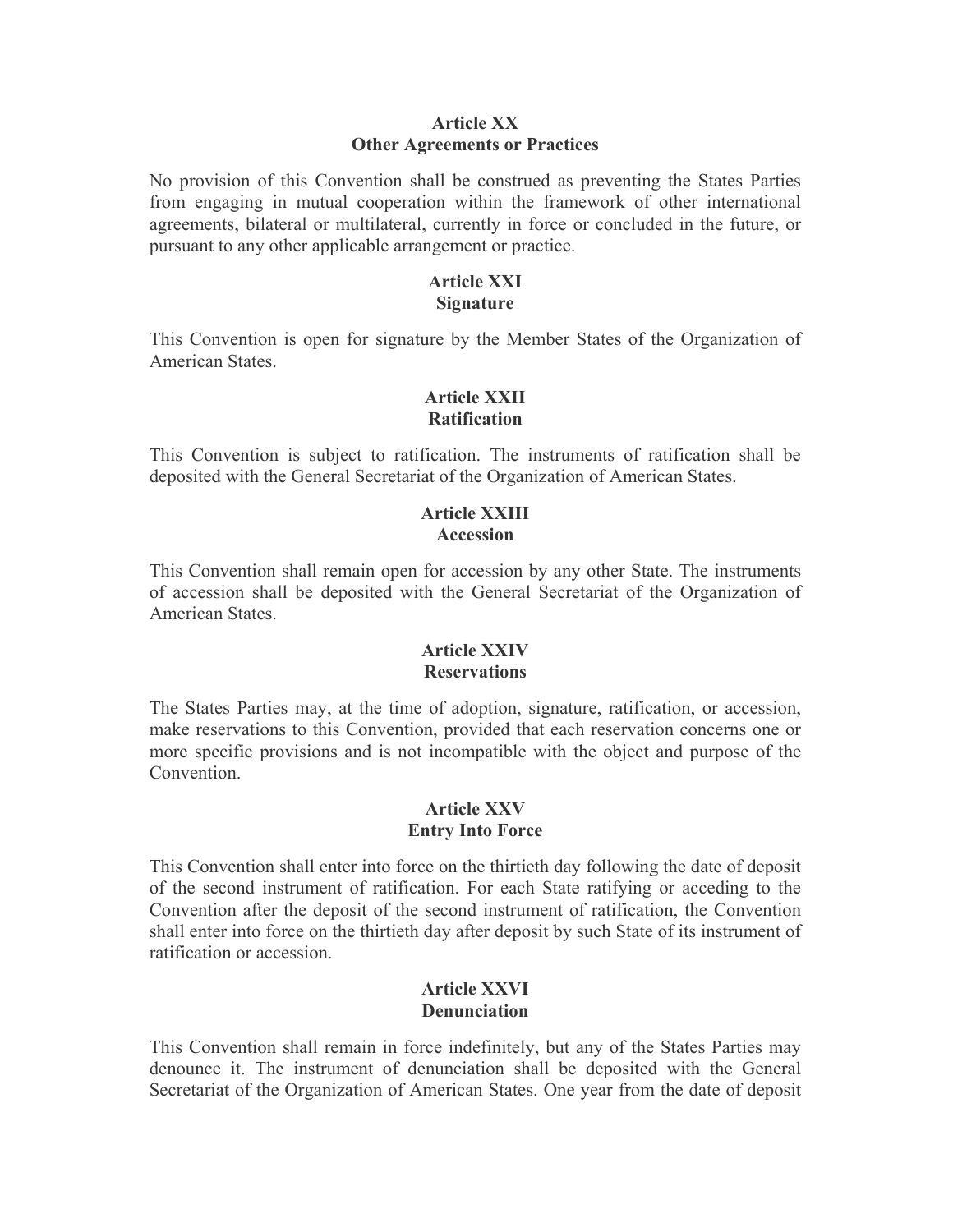#### **Article XX Other Agreements or Practices**

No provision of this Convention shall be construed as preventing the States Parties from engaging in mutual cooperation within the framework of other international agreements, bilateral or multilateral, currently in force or concluded in the future, or pursuant to any other applicable arrangement or practice.

### **Article XXI Signature**

This Convention is open for signature by the Member States of the Organization of American States.

# **Article XXII Ratification**

This Convention is subject to ratification. The instruments of ratification shall be deposited with the General Secretariat of the Organization of American States.

# **Article XXIII Accession**

This Convention shall remain open for accession by any other State. The instruments of accession shall be deposited with the General Secretariat of the Organization of American States.

# **Article XXIV Reservations**

The States Parties may, at the time of adoption, signature, ratification, or accession, make reservations to this Convention, provided that each reservation concerns one or more specific provisions and is not incompatible with the object and purpose of the Convention.

# **Article XXV Entry Into Force**

This Convention shall enter into force on the thirtieth day following the date of deposit of the second instrument of ratification. For each State ratifying or acceding to the Convention after the deposit of the second instrument of ratification, the Convention shall enter into force on the thirtieth day after deposit by such State of its instrument of ratification or accession.

# **Article XXVI Denunciation**

This Convention shall remain in force indefinitely, but any of the States Parties may denounce it. The instrument of denunciation shall be deposited with the General Secretariat of the Organization of American States. One year from the date of deposit